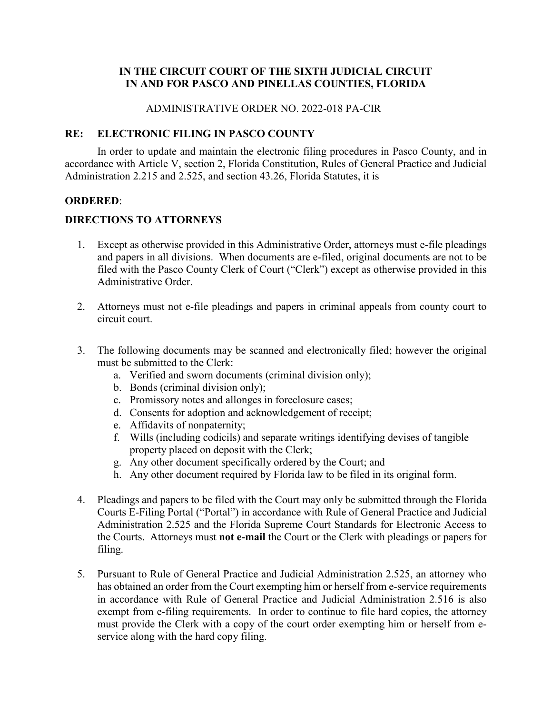## **IN THE CIRCUIT COURT OF THE SIXTH JUDICIAL CIRCUIT IN AND FOR PASCO AND PINELLAS COUNTIES, FLORIDA**

#### ADMINISTRATIVE ORDER NO. 2022-018 PA-CIR

### **RE: ELECTRONIC FILING IN PASCO COUNTY**

In order to update and maintain the electronic filing procedures in Pasco County, and in accordance with Article V, section 2, Florida Constitution, Rules of General Practice and Judicial Administration 2.215 and 2.525, and section 43.26, Florida Statutes, it is

### **ORDERED**:

### **DIRECTIONS TO ATTORNEYS**

- 1. Except as otherwise provided in this Administrative Order, attorneys must e-file pleadings and papers in all divisions. When documents are e-filed, original documents are not to be filed with the Pasco County Clerk of Court ("Clerk") except as otherwise provided in this Administrative Order.
- 2. Attorneys must not e-file pleadings and papers in criminal appeals from county court to circuit court.
- 3. The following documents may be scanned and electronically filed; however the original must be submitted to the Clerk:
	- a. Verified and sworn documents (criminal division only);
	- b. Bonds (criminal division only);
	- c. Promissory notes and allonges in foreclosure cases;
	- d. Consents for adoption and acknowledgement of receipt;
	- e. Affidavits of nonpaternity;
	- f. Wills (including codicils) and separate writings identifying devises of tangible property placed on deposit with the Clerk;
	- g. Any other document specifically ordered by the Court; and
	- h. Any other document required by Florida law to be filed in its original form.
- 4. Pleadings and papers to be filed with the Court may only be submitted through the Florida Courts E-Filing Portal ("Portal") in accordance with Rule of General Practice and Judicial Administration 2.525 and the Florida Supreme Court Standards for Electronic Access to the Courts. Attorneys must **not e-mail** the Court or the Clerk with pleadings or papers for filing.
- 5. Pursuant to Rule of General Practice and Judicial Administration 2.525, an attorney who has obtained an order from the Court exempting him or herself from e-service requirements in accordance with Rule of General Practice and Judicial Administration 2.516 is also exempt from e-filing requirements. In order to continue to file hard copies, the attorney must provide the Clerk with a copy of the court order exempting him or herself from eservice along with the hard copy filing.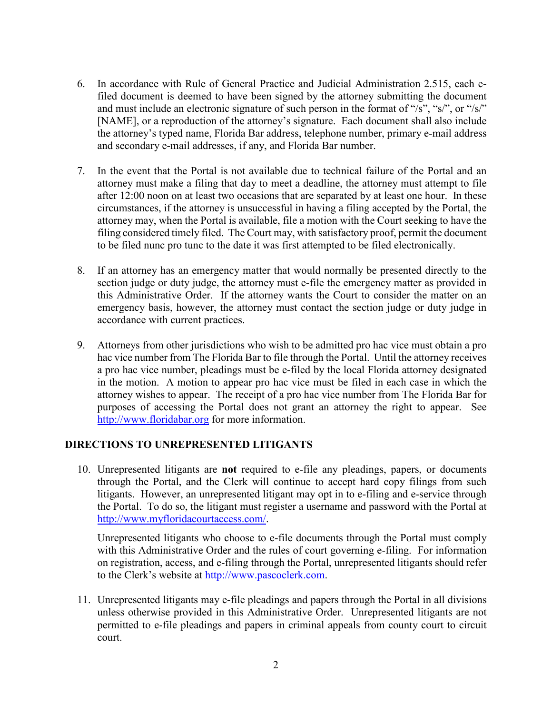- 6. In accordance with Rule of General Practice and Judicial Administration 2.515, each efiled document is deemed to have been signed by the attorney submitting the document and must include an electronic signature of such person in the format of "/s", "s/", or "/s/" [NAME], or a reproduction of the attorney's signature. Each document shall also include the attorney's typed name, Florida Bar address, telephone number, primary e-mail address and secondary e-mail addresses, if any, and Florida Bar number.
- 7. In the event that the Portal is not available due to technical failure of the Portal and an attorney must make a filing that day to meet a deadline, the attorney must attempt to file after 12:00 noon on at least two occasions that are separated by at least one hour. In these circumstances, if the attorney is unsuccessful in having a filing accepted by the Portal, the attorney may, when the Portal is available, file a motion with the Court seeking to have the filing considered timely filed. The Court may, with satisfactory proof, permit the document to be filed nunc pro tunc to the date it was first attempted to be filed electronically.
- 8. If an attorney has an emergency matter that would normally be presented directly to the section judge or duty judge, the attorney must e-file the emergency matter as provided in this Administrative Order. If the attorney wants the Court to consider the matter on an emergency basis, however, the attorney must contact the section judge or duty judge in accordance with current practices.
- 9. Attorneys from other jurisdictions who wish to be admitted pro hac vice must obtain a pro hac vice number from The Florida Bar to file through the Portal. Until the attorney receives a pro hac vice number, pleadings must be e-filed by the local Florida attorney designated in the motion. A motion to appear pro hac vice must be filed in each case in which the attorney wishes to appear. The receipt of a pro hac vice number from The Florida Bar for purposes of accessing the Portal does not grant an attorney the right to appear. See [http://www.floridabar.org](http://www.floridabar.org/) for more information.

### **DIRECTIONS TO UNREPRESENTED LITIGANTS**

10. Unrepresented litigants are **not** required to e-file any pleadings, papers, or documents through the Portal, and the Clerk will continue to accept hard copy filings from such litigants. However, an unrepresented litigant may opt in to e-filing and e-service through the Portal. To do so, the litigant must register a username and password with the Portal at [http://www.myfloridacourtaccess.com/.](http://www.myfloridacourtaccess.com/)

Unrepresented litigants who choose to e-file documents through the Portal must comply with this Administrative Order and the rules of court governing e-filing. For information on registration, access, and e-filing through the Portal, unrepresented litigants should refer to the Clerk's website at [http://www.pascoclerk.com.](http://www.pascoclerk.com/)

11. Unrepresented litigants may e-file pleadings and papers through the Portal in all divisions unless otherwise provided in this Administrative Order. Unrepresented litigants are not permitted to e-file pleadings and papers in criminal appeals from county court to circuit court.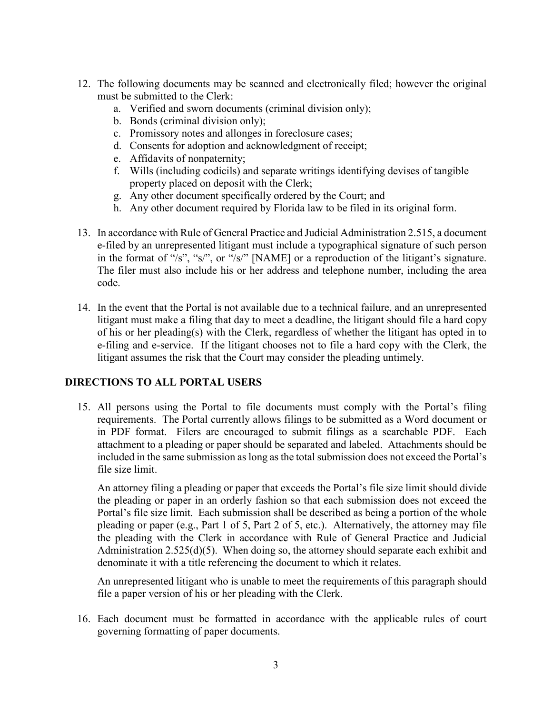- 12. The following documents may be scanned and electronically filed; however the original must be submitted to the Clerk:
	- a. Verified and sworn documents (criminal division only);
	- b. Bonds (criminal division only);
	- c. Promissory notes and allonges in foreclosure cases;
	- d. Consents for adoption and acknowledgment of receipt;
	- e. Affidavits of nonpaternity;
	- f. Wills (including codicils) and separate writings identifying devises of tangible property placed on deposit with the Clerk;
	- g. Any other document specifically ordered by the Court; and
	- h. Any other document required by Florida law to be filed in its original form.
- 13. In accordance with Rule of General Practice and Judicial Administration 2.515, a document e-filed by an unrepresented litigant must include a typographical signature of such person in the format of "/s", "s/", or "/s/" [NAME] or a reproduction of the litigant's signature. The filer must also include his or her address and telephone number, including the area code.
- 14. In the event that the Portal is not available due to a technical failure, and an unrepresented litigant must make a filing that day to meet a deadline, the litigant should file a hard copy of his or her pleading(s) with the Clerk, regardless of whether the litigant has opted in to e-filing and e-service. If the litigant chooses not to file a hard copy with the Clerk, the litigant assumes the risk that the Court may consider the pleading untimely.

# **DIRECTIONS TO ALL PORTAL USERS**

15. All persons using the Portal to file documents must comply with the Portal's filing requirements. The Portal currently allows filings to be submitted as a Word document or in PDF format. Filers are encouraged to submit filings as a searchable PDF. Each attachment to a pleading or paper should be separated and labeled. Attachments should be included in the same submission as long as the total submission does not exceed the Portal's file size limit.

An attorney filing a pleading or paper that exceeds the Portal's file size limit should divide the pleading or paper in an orderly fashion so that each submission does not exceed the Portal's file size limit. Each submission shall be described as being a portion of the whole pleading or paper (e.g., Part 1 of 5, Part 2 of 5, etc.). Alternatively, the attorney may file the pleading with the Clerk in accordance with Rule of General Practice and Judicial Administration 2.525(d)(5). When doing so, the attorney should separate each exhibit and denominate it with a title referencing the document to which it relates.

An unrepresented litigant who is unable to meet the requirements of this paragraph should file a paper version of his or her pleading with the Clerk.

16. Each document must be formatted in accordance with the applicable rules of court governing formatting of paper documents.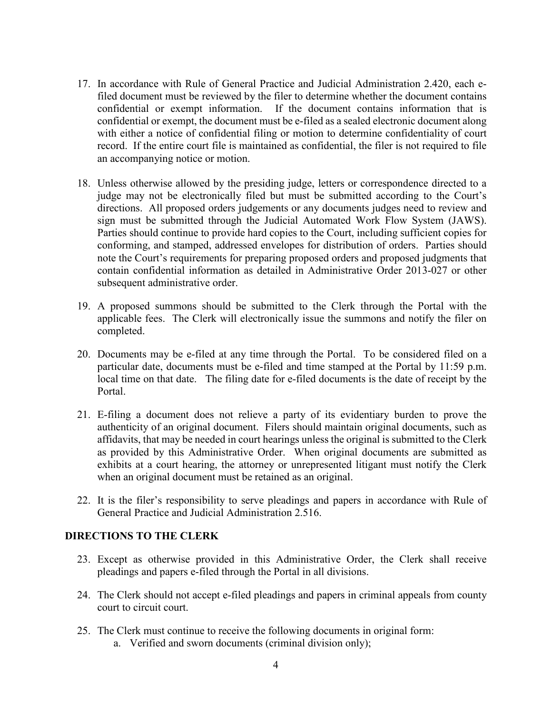- 17. In accordance with Rule of General Practice and Judicial Administration 2.420, each efiled document must be reviewed by the filer to determine whether the document contains confidential or exempt information. If the document contains information that is confidential or exempt, the document must be e-filed as a sealed electronic document along with either a notice of confidential filing or motion to determine confidentiality of court record. If the entire court file is maintained as confidential, the filer is not required to file an accompanying notice or motion.
- 18. Unless otherwise allowed by the presiding judge, letters or correspondence directed to a judge may not be electronically filed but must be submitted according to the Court's directions. All proposed orders judgements or any documents judges need to review and sign must be submitted through the Judicial Automated Work Flow System (JAWS). Parties should continue to provide hard copies to the Court, including sufficient copies for conforming, and stamped, addressed envelopes for distribution of orders. Parties should note the Court's requirements for preparing proposed orders and proposed judgments that contain confidential information as detailed in Administrative Order 2013-027 or other subsequent administrative order.
- 19. A proposed summons should be submitted to the Clerk through the Portal with the applicable fees. The Clerk will electronically issue the summons and notify the filer on completed.
- 20. Documents may be e-filed at any time through the Portal. To be considered filed on a particular date, documents must be e-filed and time stamped at the Portal by 11:59 p.m. local time on that date. The filing date for e-filed documents is the date of receipt by the Portal.
- 21. E-filing a document does not relieve a party of its evidentiary burden to prove the authenticity of an original document. Filers should maintain original documents, such as affidavits, that may be needed in court hearings unless the original is submitted to the Clerk as provided by this Administrative Order. When original documents are submitted as exhibits at a court hearing, the attorney or unrepresented litigant must notify the Clerk when an original document must be retained as an original.
- 22. It is the filer's responsibility to serve pleadings and papers in accordance with Rule of General Practice and Judicial Administration 2.516.

### **DIRECTIONS TO THE CLERK**

- 23. Except as otherwise provided in this Administrative Order, the Clerk shall receive pleadings and papers e-filed through the Portal in all divisions.
- 24. The Clerk should not accept e-filed pleadings and papers in criminal appeals from county court to circuit court.
- 25. The Clerk must continue to receive the following documents in original form:
	- a. Verified and sworn documents (criminal division only);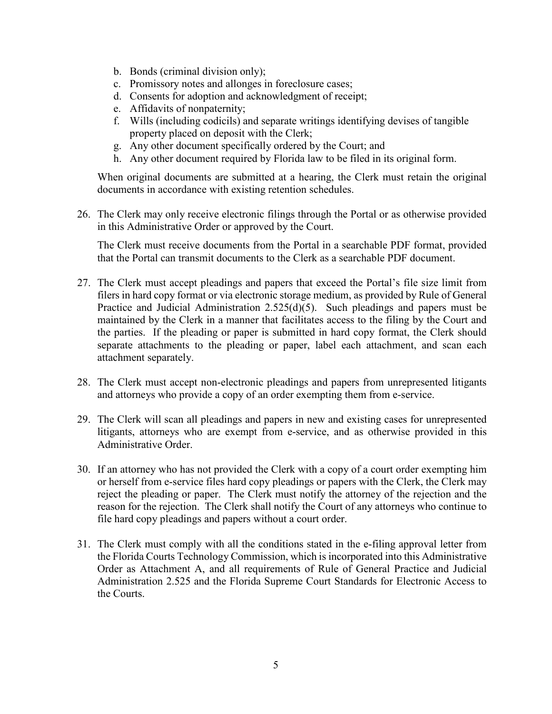- b. Bonds (criminal division only);
- c. Promissory notes and allonges in foreclosure cases;
- d. Consents for adoption and acknowledgment of receipt;
- e. Affidavits of nonpaternity;
- f. Wills (including codicils) and separate writings identifying devises of tangible property placed on deposit with the Clerk;
- g. Any other document specifically ordered by the Court; and
- h. Any other document required by Florida law to be filed in its original form.

When original documents are submitted at a hearing, the Clerk must retain the original documents in accordance with existing retention schedules.

26. The Clerk may only receive electronic filings through the Portal or as otherwise provided in this Administrative Order or approved by the Court.

The Clerk must receive documents from the Portal in a searchable PDF format, provided that the Portal can transmit documents to the Clerk as a searchable PDF document.

- 27. The Clerk must accept pleadings and papers that exceed the Portal's file size limit from filers in hard copy format or via electronic storage medium, as provided by Rule of General Practice and Judicial Administration 2.525(d)(5). Such pleadings and papers must be maintained by the Clerk in a manner that facilitates access to the filing by the Court and the parties. If the pleading or paper is submitted in hard copy format, the Clerk should separate attachments to the pleading or paper, label each attachment, and scan each attachment separately.
- 28. The Clerk must accept non-electronic pleadings and papers from unrepresented litigants and attorneys who provide a copy of an order exempting them from e-service.
- 29. The Clerk will scan all pleadings and papers in new and existing cases for unrepresented litigants, attorneys who are exempt from e-service, and as otherwise provided in this Administrative Order.
- 30. If an attorney who has not provided the Clerk with a copy of a court order exempting him or herself from e-service files hard copy pleadings or papers with the Clerk, the Clerk may reject the pleading or paper. The Clerk must notify the attorney of the rejection and the reason for the rejection. The Clerk shall notify the Court of any attorneys who continue to file hard copy pleadings and papers without a court order.
- 31. The Clerk must comply with all the conditions stated in the e-filing approval letter from the Florida Courts Technology Commission, which is incorporated into this Administrative Order as Attachment A, and all requirements of Rule of General Practice and Judicial Administration 2.525 and the Florida Supreme Court Standards for Electronic Access to the Courts.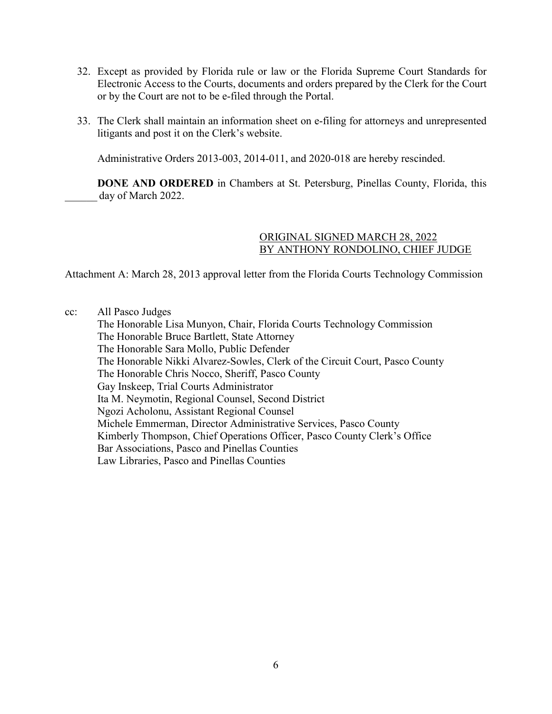- 32. Except as provided by Florida rule or law or the Florida Supreme Court Standards for Electronic Access to the Courts, documents and orders prepared by the Clerk for the Court or by the Court are not to be e-filed through the Portal.
- 33. The Clerk shall maintain an information sheet on e-filing for attorneys and unrepresented litigants and post it on the Clerk's website.

Administrative Orders 2013-003, 2014-011, and 2020-018 are hereby rescinded.

**DONE AND ORDERED** in Chambers at St. Petersburg, Pinellas County, Florida, this day of March 2022.

#### ORIGINAL SIGNED MARCH 28, 2022 BY ANTHONY RONDOLINO, CHIEF JUDGE

Attachment A: March 28, 2013 approval letter from the Florida Courts Technology Commission

cc: All Pasco Judges The Honorable Lisa Munyon, Chair, Florida Courts Technology Commission The Honorable Bruce Bartlett, State Attorney The Honorable Sara Mollo, Public Defender The Honorable Nikki Alvarez-Sowles, Clerk of the Circuit Court, Pasco County The Honorable Chris Nocco, Sheriff, Pasco County Gay Inskeep, Trial Courts Administrator Ita M. Neymotin, Regional Counsel, Second District Ngozi Acholonu, Assistant Regional Counsel Michele Emmerman, Director Administrative Services, Pasco County Kimberly Thompson, Chief Operations Officer, Pasco County Clerk's Office Bar Associations, Pasco and Pinellas Counties Law Libraries, Pasco and Pinellas Counties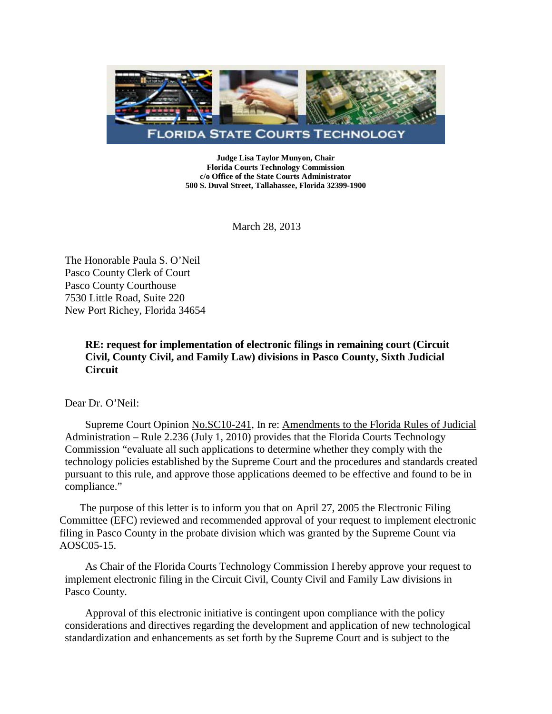

**Judge Lisa Taylor Munyon, Chair Florida Courts Technology Commission c/o Office of the State Courts Administrator 500 S. Duval Street, Tallahassee, Florida 32399-1900**

March 28, 2013

The Honorable Paula S. O'Neil Pasco County Clerk of Court Pasco County Courthouse 7530 Little Road, Suite 220 New Port Richey, Florida 34654

# **RE: request for implementation of electronic filings in remaining court (Circuit Civil, County Civil, and Family Law) divisions in Pasco County, Sixth Judicial Circuit**

Dear Dr. O'Neil:

Supreme Court Opinion No.SC10-241, In re: Amendments to the Florida Rules of Judicial Administration – Rule 2.236 (July 1, 2010) provides that the Florida Courts Technology Commission "evaluate all such applications to determine whether they comply with the technology policies established by the Supreme Court and the procedures and standards created pursuant to this rule, and approve those applications deemed to be effective and found to be in compliance."

The purpose of this letter is to inform you that on April 27, 2005 the Electronic Filing Committee (EFC) reviewed and recommended approval of your request to implement electronic filing in Pasco County in the probate division which was granted by the Supreme Count via AOSC05-15.

As Chair of the Florida Courts Technology Commission I hereby approve your request to implement electronic filing in the Circuit Civil, County Civil and Family Law divisions in Pasco County.

Approval of this electronic initiative is contingent upon compliance with the policy considerations and directives regarding the development and application of new technological standardization and enhancements as set forth by the Supreme Court and is subject to the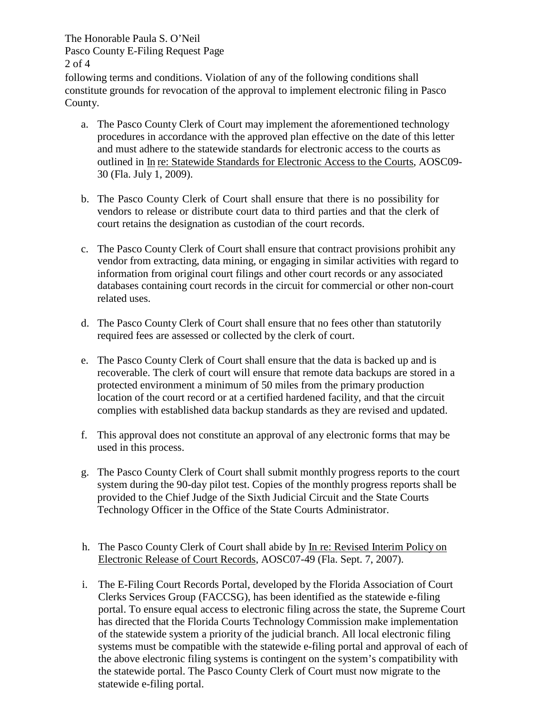The Honorable Paula S. O'Neil Pasco County E-Filing Request Page 2 of 4

following terms and conditions. Violation of any of the following conditions shall constitute grounds for revocation of the approval to implement electronic filing in Pasco County.

- a. The Pasco County Clerk of Court may implement the aforementioned technology procedures in accordance with the approved plan effective on the date of this letter and must adhere to the statewide standards for electronic access to the courts as outlined in In re: Statewide Standards for Electronic Access to the Courts, AOSC09- 30 (Fla. July 1, 2009).
- b. The Pasco County Clerk of Court shall ensure that there is no possibility for vendors to release or distribute court data to third parties and that the clerk of court retains the designation as custodian of the court records.
- c. The Pasco County Clerk of Court shall ensure that contract provisions prohibit any vendor from extracting, data mining, or engaging in similar activities with regard to information from original court filings and other court records or any associated databases containing court records in the circuit for commercial or other non-court related uses.
- d. The Pasco County Clerk of Court shall ensure that no fees other than statutorily required fees are assessed or collected by the clerk of court.
- e. The Pasco County Clerk of Court shall ensure that the data is backed up and is recoverable. The clerk of court will ensure that remote data backups are stored in a protected environment a minimum of 50 miles from the primary production location of the court record or at a certified hardened facility, and that the circuit complies with established data backup standards as they are revised and updated.
- f. This approval does not constitute an approval of any electronic forms that may be used in this process.
- g. The Pasco County Clerk of Court shall submit monthly progress reports to the court system during the 90-day pilot test. Copies of the monthly progress reports shall be provided to the Chief Judge of the Sixth Judicial Circuit and the State Courts Technology Officer in the Office of the State Courts Administrator.
- h. The Pasco County Clerk of Court shall abide by In re: Revised Interim Policy on Electronic Release of Court Records, AOSC07-49 (Fla. Sept. 7, 2007).
- i. The E-Filing Court Records Portal, developed by the Florida Association of Court Clerks Services Group (FACCSG), has been identified as the statewide e-filing portal. To ensure equal access to electronic filing across the state, the Supreme Court has directed that the Florida Courts Technology Commission make implementation of the statewide system a priority of the judicial branch. All local electronic filing systems must be compatible with the statewide e-filing portal and approval of each of the above electronic filing systems is contingent on the system's compatibility with the statewide portal. The Pasco County Clerk of Court must now migrate to the statewide e-filing portal.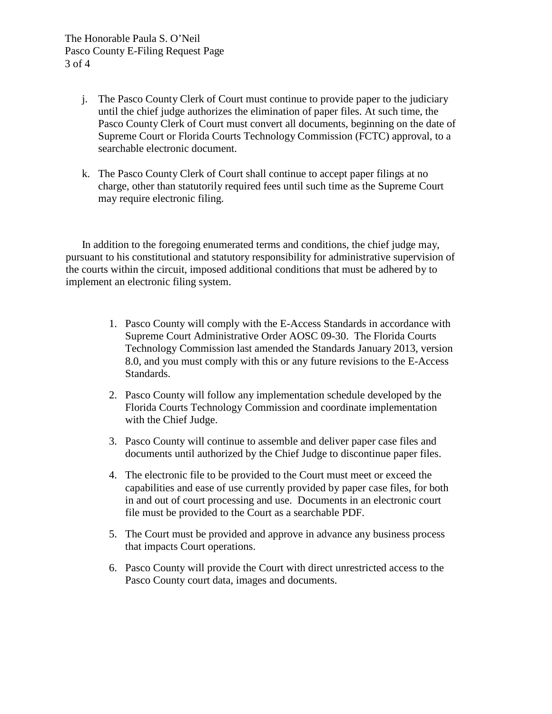- j. The Pasco County Clerk of Court must continue to provide paper to the judiciary until the chief judge authorizes the elimination of paper files. At such time, the Pasco County Clerk of Court must convert all documents, beginning on the date of Supreme Court or Florida Courts Technology Commission (FCTC) approval, to a searchable electronic document.
- k. The Pasco County Clerk of Court shall continue to accept paper filings at no charge, other than statutorily required fees until such time as the Supreme Court may require electronic filing.

In addition to the foregoing enumerated terms and conditions, the chief judge may, pursuant to his constitutional and statutory responsibility for administrative supervision of the courts within the circuit, imposed additional conditions that must be adhered by to implement an electronic filing system.

- 1. Pasco County will comply with the E-Access Standards in accordance with Supreme Court Administrative Order AOSC 09-30. The Florida Courts Technology Commission last amended the Standards January 2013, version 8.0, and you must comply with this or any future revisions to the E-Access Standards.
- 2. Pasco County will follow any implementation schedule developed by the Florida Courts Technology Commission and coordinate implementation with the Chief Judge.
- 3. Pasco County will continue to assemble and deliver paper case files and documents until authorized by the Chief Judge to discontinue paper files.
- 4. The electronic file to be provided to the Court must meet or exceed the capabilities and ease of use currently provided by paper case files, for both in and out of court processing and use. Documents in an electronic court file must be provided to the Court as a searchable PDF.
- 5. The Court must be provided and approve in advance any business process that impacts Court operations.
- 6. Pasco County will provide the Court with direct unrestricted access to the Pasco County court data, images and documents.